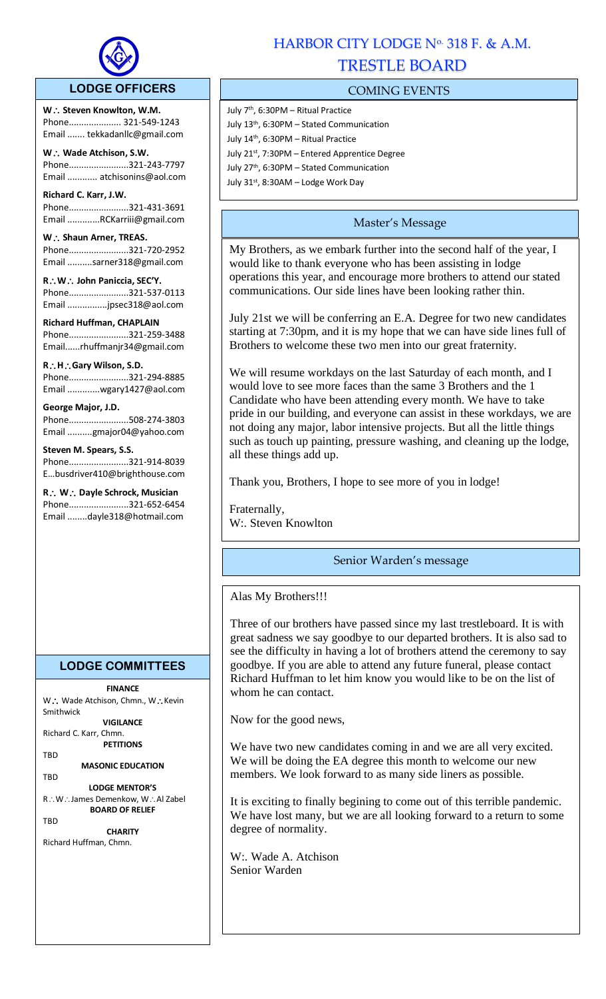

## **LODGE OFFICERS**

W.: Steven Knowlton, W.M. Phone..................... 321-549-1243 Email ....... tekkadanllc@gmail.com

l,

**W Wade Atchison, S.W.** Phone........................321-243-7797 Email ............ atchisonins@aol.com

**Richard C. Karr, J.W.**  Phone........................321-431-3691 Email .............RCKarriii@gmail.com

W.: Shaun Arner, TREAS. Phone........................321-720-2952 Email ..........sarner318@gmail.com

**RW John Paniccia, SEC'Y.** Phone........................321-537-0113 Email ................jpsec318@aol.com

**Richard Huffman, CHAPLAIN** Phone........................321-259-3488 Email......rhuffmanjr34@gmail.com

**RHGary Wilson, S.D.**  Phone........................321-294-8885 Email .............wgary1427@aol.com

#### **George Major, J.D.**

Phone........................508-274-3803 Email ..........gmajor04@yahoo.com

**Steven M. Spears, S.S.** Phone........................321-914-8039 E…busdriver410@brighthouse.com

**R** ∴ **W** ∴ Dayle Schrock, Musician Phone........................321-652-6454 Email ........dayle318@hotmail.com

## **LODGE COMMITTEES**

# **FINANCE**

W∴ Wade Atchison, Chmn., W∴Kevin Smithwick **VIGILANCE**

Richard C. Karr, Chmn. **PETITIONS**

TBD

**MASONIC EDUCATION** TBD

**LODGE MENTOR'S** R∴W∴James Demenkow, W∴Al Zabel **BOARD OF RELIEF**

**TRD** 

**CHARITY** Richard Huffman, Chmn.

# HARBOR CITY LODGE Nº 318 F. & A.M. TRESTLE BOARD

## COMING EVENTS

- July 7<sup>th</sup>, 6:30PM Ritual Practice July 13th, 6:30PM – Stated Communication July 14th, 6:30PM – Ritual Practice July 21<sup>st</sup>, 7:30PM – Entered Apprentice Degree
- July 27th, 6:30PM Stated Communication
- July 31st, 8:30AM Lodge Work Day

## Master's Message

My Brothers, as we embark further into the second half of the year, I would like to thank everyone who has been assisting in lodge operations this year, and encourage more brothers to attend our stated communications. Our side lines have been looking rather thin.

July 21st we will be conferring an E.A. Degree for two new candidates starting at 7:30pm, and it is my hope that we can have side lines full of Brothers to welcome these two men into our great fraternity.

We will resume workdays on the last Saturday of each month, and I would love to see more faces than the same 3 Brothers and the 1 Candidate who have been attending every month. We have to take pride in our building, and everyone can assist in these workdays, we are not doing any major, labor intensive projects. But all the little things such as touch up painting, pressure washing, and cleaning up the lodge, all these things add up.

Thank you, Brothers, I hope to see more of you in lodge!

Fraternally, W:. Steven Knowlton

## Senior Warden's message

## Alas My Brothers!!!

Three of our brothers have passed since my last trestleboard. It is with great sadness we say goodbye to our departed brothers. It is also sad to see the difficulty in having a lot of brothers attend the ceremony to say goodbye. If you are able to attend any future funeral, please contact Richard Huffman to let him know you would like to be on the list of whom he can contact.

Now for the good news,

We have two new candidates coming in and we are all very excited. We will be doing the EA degree this month to welcome our new members. We look forward to as many side liners as possible.

It is exciting to finally begining to come out of this terrible pandemic. We have lost many, but we are all looking forward to a return to some degree of normality.

W:. Wade A. Atchison Senior Warden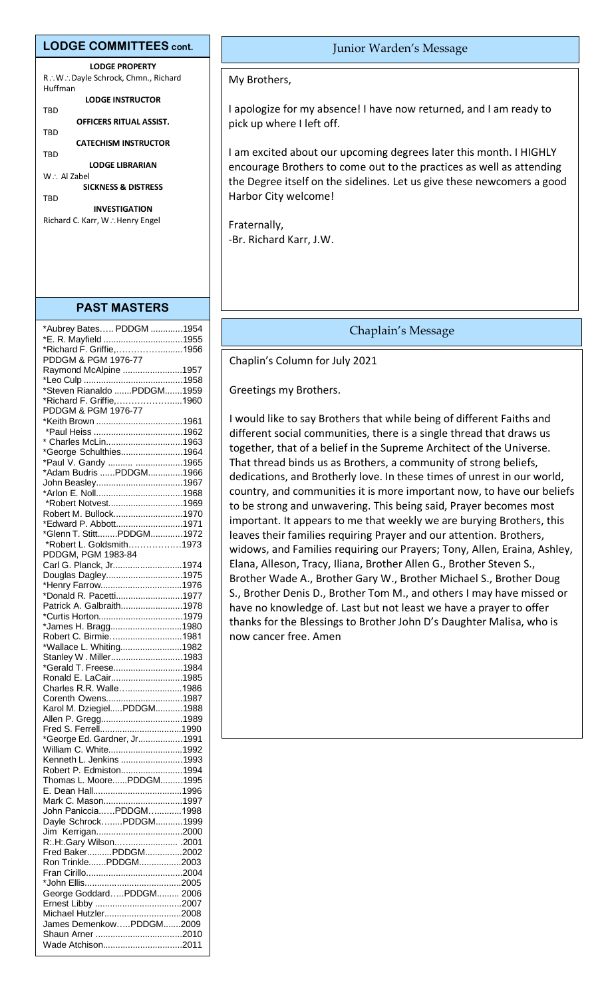#### **LODGE COMMITTEES cont.**

**LODGE PROPERTY** R∴W∴Dayle Schrock, Chmn., Richard Huffman **LODGE INSTRUCTOR** TBD

**OFFICERS RITUAL ASSIST.** TBD

**CATECHISM INSTRUCTOR**

TBD **LODGE LIBRARIAN**

W∴ Al Zabel **SICKNESS & DISTRESS**

**TRD** 

**INVESTIGATION** Richard C. Karr, W∴Henry Engel

#### **PAST MASTERS**

| *Aubrey Bates PDDGM 1954                       |  |
|------------------------------------------------|--|
| *E. R. Mayfield 1955                           |  |
| *Richard F. Griffie,1956                       |  |
| PDDGM & PGM 1976-77                            |  |
|                                                |  |
| Raymond McAlpine 1957                          |  |
| *Steven Rianaldo PDDGM1959                     |  |
|                                                |  |
| *Richard F. Griffie,1960                       |  |
| PDDGM & PGM 1976-77                            |  |
| *Keith Brown 1961                              |  |
|                                                |  |
| * Charles McLin1963                            |  |
| *George Schulthies1964                         |  |
| *Paul V. Gandy  1965                           |  |
| *Adam Budris PDDGM1966                         |  |
| John Beasley1967                               |  |
|                                                |  |
| *Robert Notvest1969                            |  |
| Robert M. Bullock1970                          |  |
| *Edward P. Abbott1971                          |  |
| *Glenn T. StittPDDGM1972                       |  |
| *Robert L. Goldsmith1973                       |  |
| PDDGM, PGM 1983-84                             |  |
| Carl G. Planck, Jr1974                         |  |
| Douglas Dagley1975                             |  |
| *Henry Farrow1976                              |  |
| *Donald R. Pacetti1977                         |  |
| Patrick A. Galbraith1978                       |  |
|                                                |  |
| *James H. Bragg1980                            |  |
| Robert C. Birmie1981                           |  |
| *Wallace L. Whiting1982                        |  |
| Stanley W. Miller1983                          |  |
| *Gerald T. Freese1984                          |  |
|                                                |  |
| Ronald E. LaCair1985<br>Charles R.R. Walle1986 |  |
|                                                |  |
| Corenth Owens1987                              |  |
| Karol M. DziegielPDDGM1988                     |  |
| Allen P. Gregg1989                             |  |
|                                                |  |
| *George Ed. Gardner, Jr1991                    |  |
| William C. White1992                           |  |
| Kenneth L. Jenkins 1993                        |  |
| Robert P. Edmiston1994                         |  |
| Thomas L. MoorePDDGM1995                       |  |
|                                                |  |
| Mark C. Mason1997                              |  |
| John PanicciaPDDGM1998                         |  |
| Dayle SchrockPDDGM1999                         |  |
| Jim Kerrigan2000                               |  |
| R:.H:.Gary Wilson .2001                        |  |
| Fred BakerPDDGM2002                            |  |
| Ron TrinklePDDGM2003                           |  |
|                                                |  |
|                                                |  |
| George GoddardPDDGM 2006                       |  |
|                                                |  |
| Michael Hutzler2008                            |  |
| James DemenkowPDDGM2009                        |  |
|                                                |  |
| Wade Atchison2011                              |  |
|                                                |  |

#### Junior Warden's Message

My Brothers,

I apologize for my absence! I have now returned, and I am ready to pick up where I left off.

I am excited about our upcoming degrees later this month. I HIGHLY encourage Brothers to come out to the practices as well as attending the Degree itself on the sidelines. Let us give these newcomers a good Harbor City welcome!

Fraternally, -Br. Richard Karr, J.W.

### Chaplain's Message

Chaplin's Column for July 2021

Greetings my Brothers.

I would like to say Brothers that while being of different Faiths and different social communities, there is a single thread that draws us together, that of a belief in the Supreme Architect of the Universe. That thread binds us as Brothers, a community of strong beliefs, dedications, and Brotherly love. In these times of unrest in our world, country, and communities it is more important now, to have our beliefs to be strong and unwavering. This being said, Prayer becomes most important. It appears to me that weekly we are burying Brothers, this leaves their families requiring Prayer and our attention. Brothers, widows, and Families requiring our Prayers; Tony, Allen, Eraina, Ashley, Elana, Alleson, Tracy, Iliana, Brother Allen G., Brother Steven S., Brother Wade A., Brother Gary W., Brother Michael S., Brother Doug S., Brother Denis D., Brother Tom M., and others I may have missed or have no knowledge of. Last but not least we have a prayer to offer thanks for the Blessings to Brother John D's Daughter Malisa, who is now cancer free. Amen